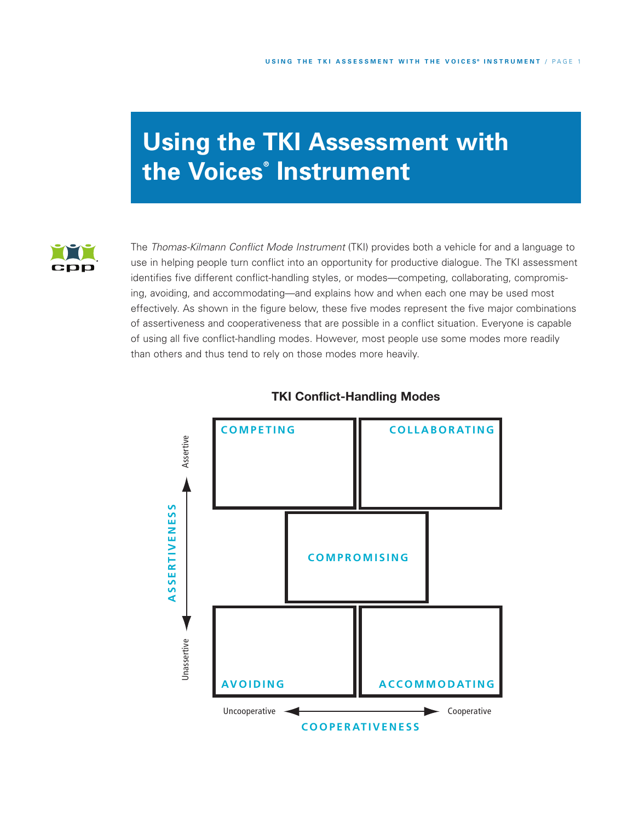# **Using the TKI Assessment with the Voices ® Instrument**



The *Thomas-Kilmann Conflict Mode Instrument* (TKI) provides both a vehicle for and a language to use in helping people turn conflict into an opportunity for productive dialogue. The TKI assessment identifies five different conflict-handling styles, or modes—competing, collaborating, compromising, avoiding, and accommodating—and explains how and when each one may be used most effectively. As shown in the figure below, these five modes represent the five major combinations of assertiveness and cooperativeness that are possible in a conflict situation. Everyone is capable of using all five conflict-handling modes. However, most people use some modes more readily than others and thus tend to rely on those modes more heavily.



# **TKI Conflict-Handling Modes**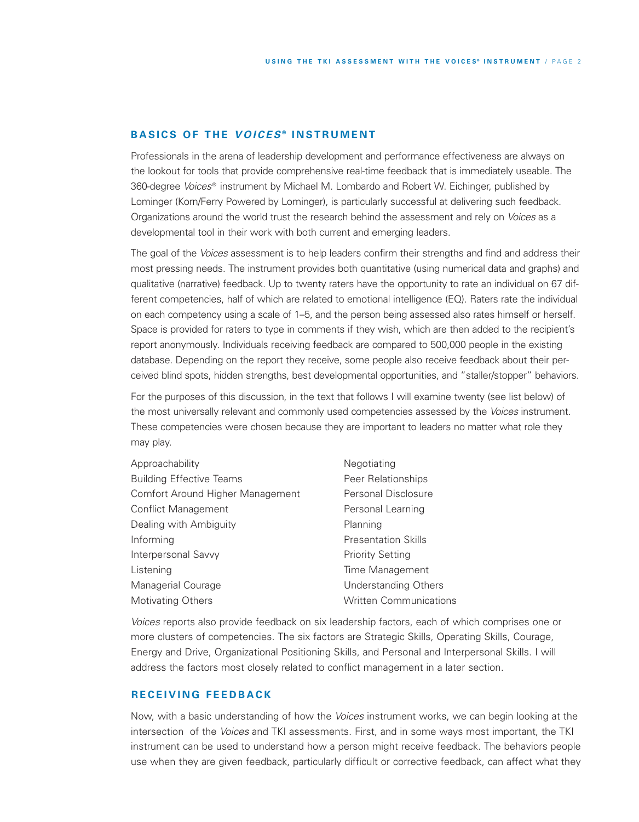## **B A S IC S O F T H E** *V O IC ES* **® I N S TR U M E N T**

Professionals in the arena of leadership development and performance effectiveness are always on the lookout for tools that provide comprehensive real-time feedback that is immediately useable. The 360-degree *Voices*® instrument by Michael M. Lombardo and Robert W. Eichinger, published by Lominger (Korn/Ferry Powered by Lominger), is particularly successful at delivering such feedback. Organizations around the world trust the research behind the assessment and rely on *Voices* as a developmental tool in their work with both current and emerging leaders.

The goal of the *Voices* assessment is to help leaders confirm their strengths and find and address their most pressing needs. The instrument provides both quantitative (using numerical data and graphs) and qualitative (narrative) feedback. Up to twenty raters have the opportunity to rate an individual on 67 different competencies, half of which are related to emotional intelligence (EQ). Raters rate the individual on each competency using a scale of 1–5, and the person being assessed also rates himself or herself. Space is provided for raters to type in comments if they wish, which are then added to the recipient's report anonymously. Individuals receiving feedback are compared to 500,000 people in the existing database. Depending on the report they receive, some people also receive feedback about their perceived blind spots, hidden strengths, best developmental opportunities, and "staller/stopper" behaviors.

For the purposes of this discussion, in the text that follows I will examine twenty (see list below) of the most universally relevant and commonly used competencies assessed by the *Voices* instrument. These competencies were chosen because they are important to leaders no matter what role they may play.

| Approachability                  | Negotiating                   |
|----------------------------------|-------------------------------|
| <b>Building Effective Teams</b>  | Peer Relationships            |
| Comfort Around Higher Management | <b>Personal Disclosure</b>    |
| Conflict Management              | Personal Learning             |
| Dealing with Ambiguity           | Planning                      |
| Informing                        | <b>Presentation Skills</b>    |
| Interpersonal Savvy              | <b>Priority Setting</b>       |
| Listening                        | Time Management               |
| Managerial Courage               | Understanding Others          |
| <b>Motivating Others</b>         | <b>Written Communications</b> |

*Voices* reports also provide feedback on six leadership factors, each of which comprises one or more clusters of competencies. The six factors are Strategic Skills, Operating Skills, Courage, Energy and Drive, Organizational Positioning Skills, and Personal and Interpersonal Skills. I will address the factors most closely related to conflict management in a later section.

## **R EC E I V I N G F E E D B A C K**

Now, with a basic understanding of how the *Voices* instrument works, we can begin looking at the intersection of the *Voices* and TKI assessments. First, and in some ways most important, the TKI instrument can be used to understand how a person might receive feedback. The behaviors people use when they are given feedback, particularly difficult or corrective feedback, can affect what they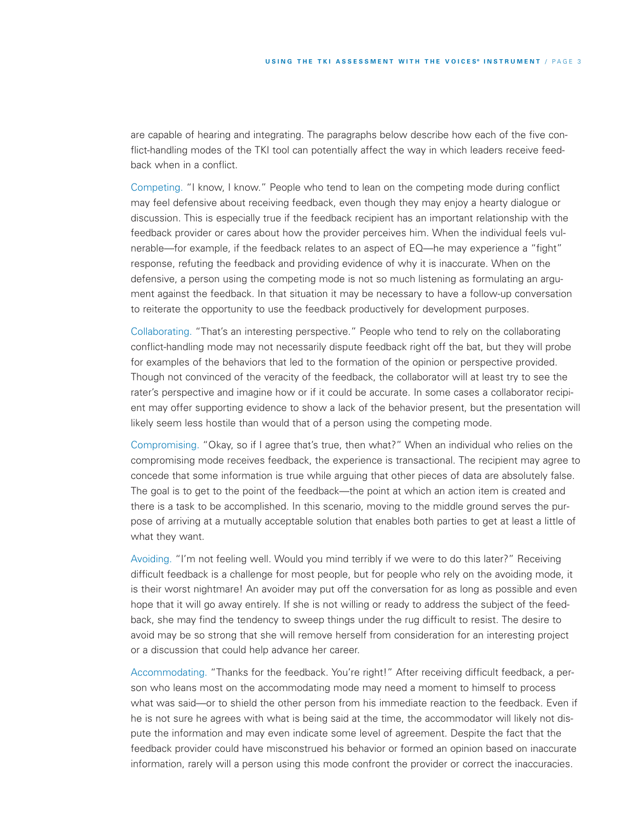are capable of hearing and integrating. The paragraphs below describe how each of the five conflict-handling modes of the TKI tool can potentially affect the way in which leaders receive feedback when in a conflict.

Competing. "I know, I know." People who tend to lean on the competing mode during conflict may feel defensive about receiving feedback, even though they may enjoy a hearty dialogue or discussion. This is especially true if the feedback recipient has an important relationship with the feedback provider or cares about how the provider perceives him. When the individual feels vulnerable—for example, if the feedback relates to an aspect of EQ—he may experience a "fight" response, refuting the feedback and providing evidence of why it is inaccurate. When on the defensive, a person using the competing mode is not so much listening as formulating an argument against the feedback. In that situation it may be necessary to have a follow-up conversation to reiterate the opportunity to use the feedback productively for development purposes.

Collaborating. "That's an interesting perspective." People who tend to rely on the collaborating conflict-handling mode may not necessarily dispute feedback right off the bat, but they will probe for examples of the behaviors that led to the formation of the opinion or perspective provided. Though not convinced of the veracity of the feedback, the collaborator will at least try to see the rater's perspective and imagine how or if it could be accurate. In some cases a collaborator recipient may offer supporting evidence to show a lack of the behavior present, but the presentation will likely seem less hostile than would that of a person using the competing mode.

Compromising. "Okay, so if I agree that's true, then what?" When an individual who relies on the compromising mode receives feedback, the experience is transactional. The recipient may agree to concede that some information is true while arguing that other pieces of data are absolutely false. The goal is to get to the point of the feedback—the point at which an action item is created and there is a task to be accomplished. In this scenario, moving to the middle ground serves the purpose of arriving at a mutually acceptable solution that enables both parties to get at least a little of what they want.

Avoiding. "I'm not feeling well. Would you mind terribly if we were to do this later?" Receiving difficult feedback is a challenge for most people, but for people who rely on the avoiding mode, it is their worst nightmare! An avoider may put off the conversation for as long as possible and even hope that it will go away entirely. If she is not willing or ready to address the subject of the feedback, she may find the tendency to sweep things under the rug difficult to resist. The desire to avoid may be so strong that she will remove herself from consideration for an interesting project or a discussion that could help advance her career.

Accommodating. "Thanks for the feedback. You're right!" After receiving difficult feedback, a person who leans most on the accommodating mode may need a moment to himself to process what was said—or to shield the other person from his immediate reaction to the feedback. Even if he is not sure he agrees with what is being said at the time, the accommodator will likely not dispute the information and may even indicate some level of agreement. Despite the fact that the feedback provider could have misconstrued his behavior or formed an opinion based on inaccurate information, rarely will a person using this mode confront the provider or correct the inaccuracies.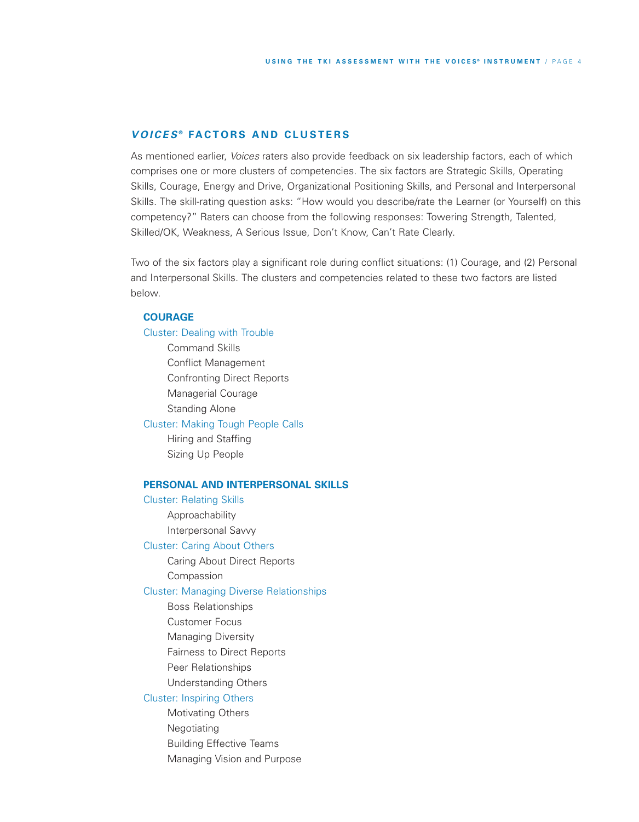## *V O IC ES* **® FA C T O R S A N D C L U S T ER S**

As mentioned earlier, *Voices* raters also provide feedback on six leadership factors, each of which comprises one or more clusters of competencies. The six factors are Strategic Skills, Operating Skills, Courage, Energy and Drive, Organizational Positioning Skills, and Personal and Interpersonal Skills. The skill-rating question asks: "How would you describe/rate the Learner (or Yourself) on this competency?" Raters can choose from the following responses: Towering Strength, Talented, Skilled/OK, Weakness, A Serious Issue, Don't Know, Can't Rate Clearly.

Two of the six factors play a significant role during conflict situations: (1) Courage, and (2) Personal and Interpersonal Skills. The clusters and competencies related to these two factors are listed below.

## **COURAGE**

Cluster: Dealing with Trouble Command Skills Conflict Management Confronting Direct Reports Managerial Courage Standing Alone Cluster: Making Tough People Calls Hiring and Staffing Sizing Up People

## **PERSONAL AND INTERPERSONAL SKILLS**

Cluster: Relating Skills Approachability Interpersonal Savvy Cluster: Caring About Others Caring About Direct Reports Compassion Cluster: Managing Diverse Relationships Boss Relationships Customer Focus Managing Diversity

Fairness to Direct Reports

Peer Relationships

Understanding Others

## Cluster: Inspiring Others

Motivating Others Negotiating Building Effective Teams Managing Vision and Purpose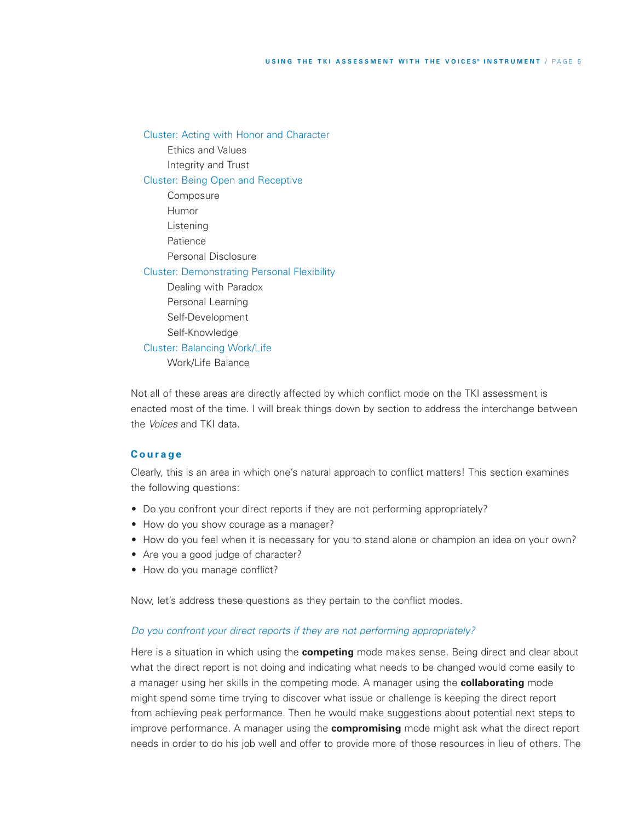Cluster: Acting with Honor and Character Ethics and Values Integrity and Trust Cluster: Being Open and Receptive Composure Humor Listening Patience Personal Disclosure Cluster: Demonstrating Personal Flexibility Dealing with Paradox Personal Learning Self-Development Self-Knowledge Cluster: Balancing Work/Life Work/Life Balance

Not all of these areas are directly affected by which conflict mode on the TKI assessment is enacted most of the time. I will break things down by section to address the interchange between the *Voices* and TKI data.

## **C o u r a g e**

Clearly, this is an area in which one's natural approach to conflict matters! This section examines the following questions:

- Do you confront your direct reports if they are not performing appropriately?
- How do you show courage as a manager?
- How do you feel when it is necessary for you to stand alone or champion an idea on your own?
- Are you a good judge of character?
- How do you manage conflict?

Now, let's address these questions as they pertain to the conflict modes.

## *Do you confront your direct reports if they are not performing appropriately?*

Here is a situation in which using the **competing** mode makes sense. Being direct and clear about what the direct report is not doing and indicating what needs to be changed would come easily to a manager using her skills in the competing mode. A manager using the **collaborating** mode might spend some time trying to discover what issue or challenge is keeping the direct report from achieving peak performance. Then he would make suggestions about potential next steps to improve performance. A manager using the **compromising** mode might ask what the direct report needs in order to do his job well and offer to provide more of those resources in lieu of others. The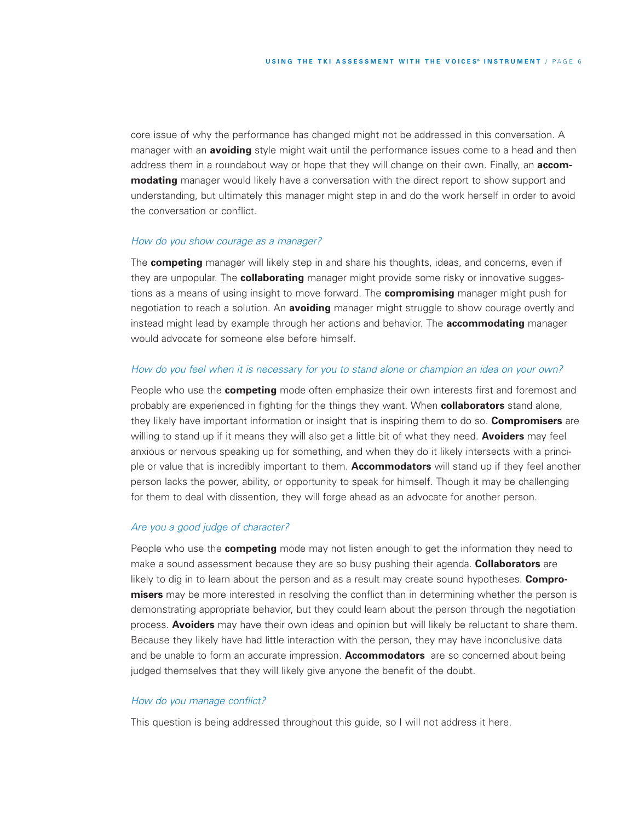core issue of why the performance has changed might not be addressed in this conversation. A manager with an **avoiding** style might wait until the performance issues come to a head and then address them in a roundabout way or hope that they will change on their own. Finally, an **accommodating** manager would likely have a conversation with the direct report to show support and understanding, but ultimately this manager might step in and do the work herself in order to avoid the conversation or conflict.

#### *How do you show courage as a manager?*

The **competing** manager will likely step in and share his thoughts, ideas, and concerns, even if they are unpopular. The **collaborating** manager might provide some risky or innovative suggestions as a means of using insight to move forward. The **compromising** manager might push for negotiation to reach a solution. An **avoiding** manager might struggle to show courage overtly and instead might lead by example through her actions and behavior. The **accommodating** manager would advocate for someone else before himself.

## How do you feel when it is necessary for you to stand alone or champion an idea on your own?

People who use the **competing** mode often emphasize their own interests first and foremost and probably are experienced in fighting for the things they want. When **collaborators** stand alone, they likely have important information or insight that is inspiring them to do so. **Compromisers** are willing to stand up if it means they will also get a little bit of what they need. **Avoiders** may feel anxious or nervous speaking up for something, and when they do it likely intersects with a principle or value that is incredibly important to them. **Accommodators** will stand up if they feel another person lacks the power, ability, or opportunity to speak for himself. Though it may be challenging for them to deal with dissention, they will forge ahead as an advocate for another person.

#### *Are you a good judge of character?*

People who use the **competing** mode may not listen enough to get the information they need to make a sound assessment because they are so busy pushing their agenda. **Collaborators** are likely to dig in to learn about the person and as a result may create sound hypotheses. **Compromisers** may be more interested in resolving the conflict than in determining whether the person is demonstrating appropriate behavior, but they could learn about the person through the negotiation process. **Avoiders** may have their own ideas and opinion but will likely be reluctant to share them. Because they likely have had little interaction with the person, they may have inconclusive data and be unable to form an accurate impression. **Accommodators** are so concerned about being judged themselves that they will likely give anyone the benefit of the doubt.

#### *How do you manage conflict?*

This question is being addressed throughout this guide, so I will not address it here.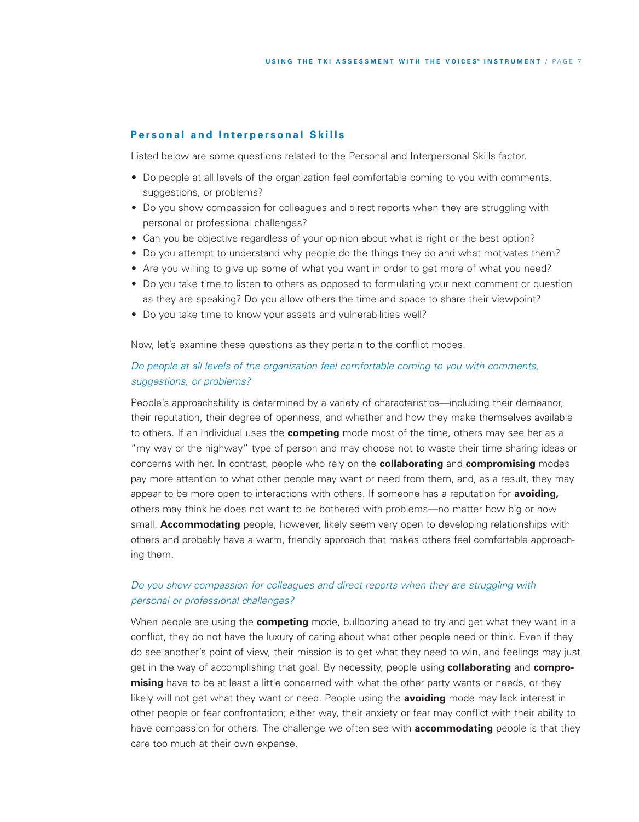## **Personal and Interpersonal Skills**

Listed below are some questions related to the Personal and Interpersonal Skills factor.

- Do people at all levels of the organization feel comfortable coming to you with comments, suggestions, or problems?
- Do you show compassion for colleagues and direct reports when they are struggling with personal or professional challenges?
- Can you be objective regardless of your opinion about what is right or the best option?
- Do you attempt to understand why people do the things they do and what motivates them?
- Are you willing to give up some of what you want in order to get more of what you need?
- Do you take time to listen to others as opposed to formulating your next comment or question as they are speaking? Do you allow others the time and space to share their viewpoint?
- Do you take time to know your assets and vulnerabilities well?

Now, let's examine these questions as they pertain to the conflict modes.

## *Do people at all levels of the organization feel comfortable coming to you with comments, suggestions, or problems?*

People's approachability is determined by a variety of characteristics—including their demeanor, their reputation, their degree of openness, and whether and how they make themselves available to others. If an individual uses the **competing** mode most of the time, others may see her as a "my way or the highway" type of person and may choose not to waste their time sharing ideas or concerns with her. In contrast, people who rely on the **collaborating** and **compromising** modes pay more attention to what other people may want or need from them, and, as a result, they may appear to be more open to interactions with others. If someone has a reputation for **avoiding,** others may think he does not want to be bothered with problems—no matter how big or how small. **Accommodating** people, however, likely seem very open to developing relationships with others and probably have a warm, friendly approach that makes others feel comfortable approaching them.

# *Do you show compassion for colleagues and direct reports when they are struggling with personal or professional challenges?*

When people are using the **competing** mode, bulldozing ahead to try and get what they want in a conflict, they do not have the luxury of caring about what other people need or think. Even if they do see another's point of view, their mission is to get what they need to win, and feelings may just get in the way of accomplishing that goal. By necessity, people using **collaborating** and **compromising** have to be at least a little concerned with what the other party wants or needs, or they likely will not get what they want or need. People using the **avoiding** mode may lack interest in other people or fear confrontation; either way, their anxiety or fear may conflict with their ability to have compassion for others. The challenge we often see with **accommodating** people is that they care too much at their own expense.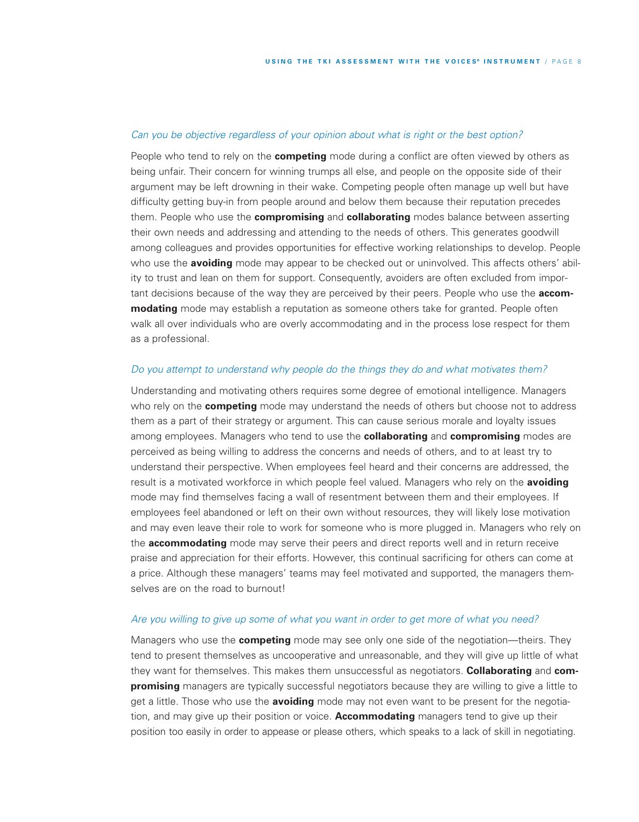## *Can you be objective regardless of your opinion about what is right or the best option?*

People who tend to rely on the **competing** mode during a conflict are often viewed by others as being unfair. Their concern for winning trumps all else, and people on the opposite side of their argument may be left drowning in their wake. Competing people often manage up well but have difficulty getting buy-in from people around and below them because their reputation precedes them. People who use the **compromising** and **collaborating** modes balance between asserting their own needs and addressing and attending to the needs of others. This generates goodwill among colleagues and provides opportunities for effective working relationships to develop. People who use the **avoiding** mode may appear to be checked out or uninvolved. This affects others' ability to trust and lean on them for support. Consequently, avoiders are often excluded from important decisions because of the way they are perceived by their peers. People who use the **accommodating** mode may establish a reputation as someone others take for granted. People often walk all over individuals who are overly accommodating and in the process lose respect for them as a professional.

## *Do you attempt to understand why people do the things they do and what motivates them?*

Understanding and motivating others requires some degree of emotional intelligence. Managers who rely on the **competing** mode may understand the needs of others but choose not to address them as a part of their strategy or argument. This can cause serious morale and loyalty issues among employees. Managers who tend to use the **collaborating** and **compromising** modes are perceived as being willing to address the concerns and needs of others, and to at least try to understand their perspective. When employees feel heard and their concerns are addressed, the result is a motivated workforce in which people feel valued. Managers who rely on the **avoiding** mode may find themselves facing a wall of resentment between them and their employees. If employees feel abandoned or left on their own without resources, they will likely lose motivation and may even leave their role to work for someone who is more plugged in. Managers who rely on the **accommodating** mode may serve their peers and direct reports well and in return receive praise and appreciation for their efforts. However, this continual sacrificing for others can come at a price. Although these managers' teams may feel motivated and supported, the managers themselves are on the road to burnout!

#### Are you willing to give up some of what you want in order to get more of what you need?

Managers who use the **competing** mode may see only one side of the negotiation—theirs. They tend to present themselves as uncooperative and unreasonable, and they will give up little of what they want for themselves. This makes them unsuccessful as negotiators. **Collaborating** and **compromising** managers are typically successful negotiators because they are willing to give a little to get a little. Those who use the **avoiding** mode may not even want to be present for the negotiation, and may give up their position or voice. **Accommodating** managers tend to give up their position too easily in order to appease or please others, which speaks to a lack of skill in negotiating.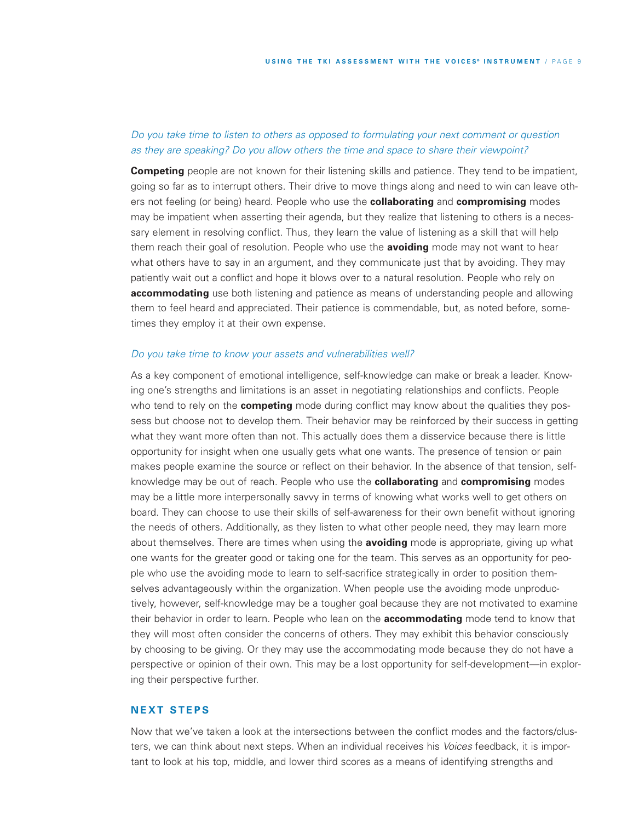# *Do you take time to listen to others as opposed to formulating your next comment or question as they are speaking? Do you allow others the time and space to share their viewpoint?*

**Competing** people are not known for their listening skills and patience. They tend to be impatient, going so far as to interrupt others. Their drive to move things along and need to win can leave others not feeling (or being) heard. People who use the **collaborating** and **compromising** modes may be impatient when asserting their agenda, but they realize that listening to others is a necessary element in resolving conflict. Thus, they learn the value of listening as a skill that will help them reach their goal of resolution. People who use the **avoiding** mode may not want to hear what others have to say in an argument, and they communicate just that by avoiding. They may patiently wait out a conflict and hope it blows over to a natural resolution. People who rely on **accommodating** use both listening and patience as means of understanding people and allowing them to feel heard and appreciated. Their patience is commendable, but, as noted before, sometimes they employ it at their own expense.

#### *Do you take time to know your assets and vulnerabilities well?*

As a key component of emotional intelligence, self-knowledge can make or break a leader. Knowing one's strengths and limitations is an asset in negotiating relationships and conflicts. People who tend to rely on the **competing** mode during conflict may know about the qualities they possess but choose not to develop them. Their behavior may be reinforced by their success in getting what they want more often than not. This actually does them a disservice because there is little opportunity for insight when one usually gets what one wants. The presence of tension or pain makes people examine the source or reflect on their behavior. In the absence of that tension, selfknowledge may be out of reach. People who use the **collaborating** and **compromising** modes may be a little more interpersonally savvy in terms of knowing what works well to get others on board. They can choose to use their skills of self-awareness for their own benefit without ignoring the needs of others. Additionally, as they listen to what other people need, they may learn more about themselves. There are times when using the **avoiding** mode is appropriate, giving up what one wants for the greater good or taking one for the team. This serves as an opportunity for people who use the avoiding mode to learn to self-sacrifice strategically in order to position themselves advantageously within the organization. When people use the avoiding mode unproductively, however, self-knowledge may be a tougher goal because they are not motivated to examine their behavior in order to learn. People who lean on the **accommodating** mode tend to know that they will most often consider the concerns of others. They may exhibit this behavior consciously by choosing to be giving. Or they may use the accommodating mode because they do not have a perspective or opinion of their own. This may be a lost opportunity for self-development—in exploring their perspective further.

## **NEXT STEPS**

Now that we've taken a look at the intersections between the conflict modes and the factors/clusters, we can think about next steps. When an individual receives his *Voices* feedback, it is important to look at his top, middle, and lower third scores as a means of identifying strengths and